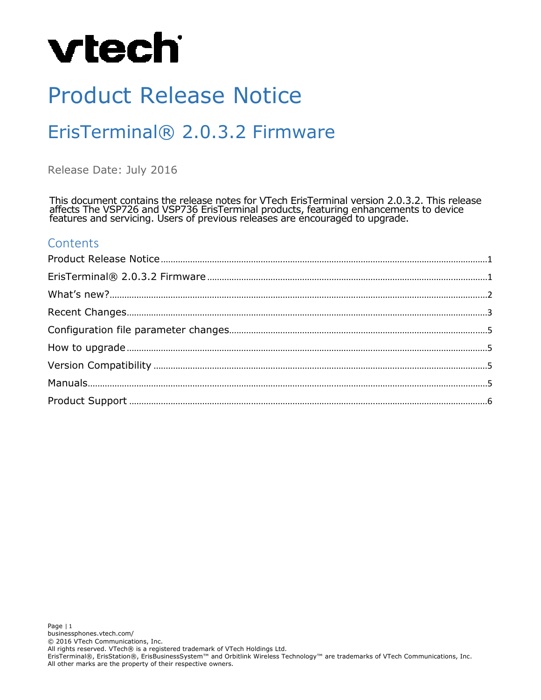# Product Release Notice

# ErisTerminal® 2.0.3.2 Firmware

Release Date: July 2016

This document contains the release notes for VTech ErisTerminal version 2.0.3.2. This release affects The VSP726 and VSP736 ErisTerminal products, featuring enhancements to device features and servicing. Users of previous releases are encouraged to upgrade.

### **Contents**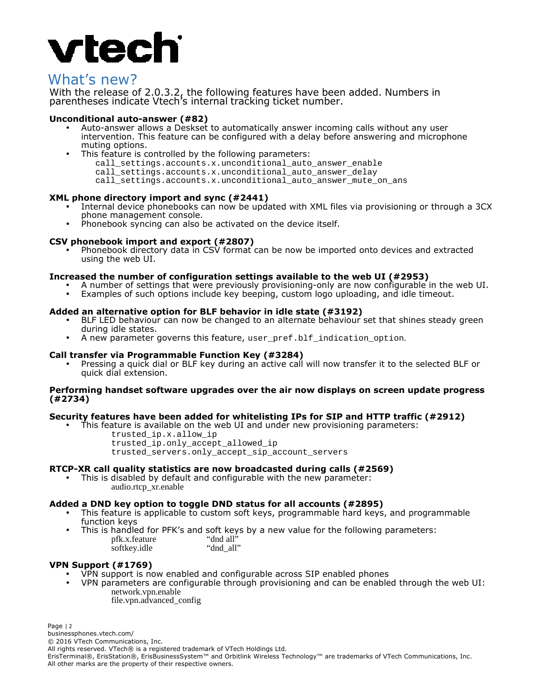# **vtec**

### What's new?

With the release of 2.0.3.2, the following features have been added. Numbers in parentheses indicate Vtech's internal tracking ticket number.

#### **Unconditional auto-answer (#82)**

- Auto-answer allows a Deskset to automatically answer incoming calls without any user intervention. This feature can be configured with a delay before answering and microphone muting options.
- This feature is controlled by the following parameters: call\_settings.accounts.x.unconditional\_auto\_answer\_enable call settings.accounts.x.unconditional auto answer delay call\_settings.accounts.x.unconditional\_auto\_answer\_mute\_on\_ans

#### **XML phone directory import and sync (#2441)**

- Internal device phonebooks can now be updated with XML files via provisioning or through a 3CX phone management console.
- Phonebook syncing can also be activated on the device itself.

#### **CSV phonebook import and export (#2807)**

• Phonebook directory data in CSV format can be now be imported onto devices and extracted using the web UI.

#### **Increased the number of configuration settings available to the web UI (#2953)**

- A number of settings that were previously provisioning-only are now configurable in the web UI.
- Examples of such options include key beeping, custom logo uploading, and idle timeout.

#### **Added an alternative option for BLF behavior in idle state (#3192)**

- BLF LED behaviour can now be changed to an alternate behaviour set that shines steady green during idle states.
- A new parameter governs this feature, user pref.blf\_indication\_option.

#### **Call transfer via Programmable Function Key (#3284)**

• Pressing a quick dial or BLF key during an active call will now transfer it to the selected BLF or quick dial extension.

#### **Performing handset software upgrades over the air now displays on screen update progress (#2734)**

#### **Security features have been added for whitelisting IPs for SIP and HTTP traffic (#2912)**

- This feature is available on the web UI and under new provisioning parameters:
	- trusted\_ip.x.allow\_ip
		- trusted\_ip.only\_accept\_allowed\_ip
	- trusted\_servers.only\_accept\_sip\_account\_servers

#### **RTCP-XR call quality statistics are now broadcasted during calls (#2569)**

• This is disabled by default and configurable with the new parameter: audio.rtcp\_xr.enable

#### **Added a DND key option to toggle DND status for all accounts (#2895)**

- This feature is applicable to custom soft keys, programmable hard keys, and programmable function keys
- This is handled for PFK's and soft keys by a new value for the following parameters:<br>pfk.x.feature "dnd all" pfk.x.feature "dnd all"<br>softkev.idle "dnd all" softkey.idle

#### **VPN Support (#1769)**

- VPN support is now enabled and configurable across SIP enabled phones
- VPN parameters are configurable through provisioning and can be enabled through the web UI: network.vpn.enable file.vpn.advanced\_config

Page | 2

businessphones.vtech.com/

© 2016 VTech Communications, Inc. All rights reserved. VTech® is a registered trademark of VTech Holdings Ltd.

ErisTerminal®, ErisStation®, ErisBusinessSystem™ and Orbitlink Wireless Technology™ are trademarks of VTech Communications, Inc. All other marks are the property of their respective owners.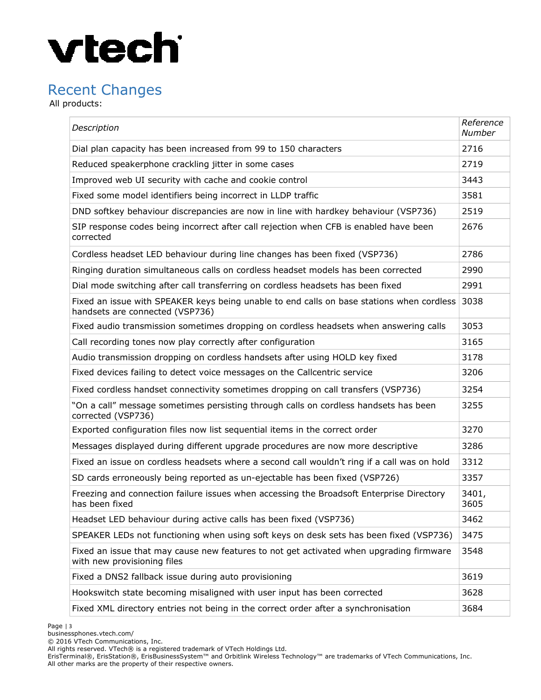## Recent Changes

All products:

| Description                                                                                                                       | Reference<br><b>Number</b> |
|-----------------------------------------------------------------------------------------------------------------------------------|----------------------------|
| Dial plan capacity has been increased from 99 to 150 characters                                                                   | 2716                       |
| Reduced speakerphone crackling jitter in some cases                                                                               | 2719                       |
| Improved web UI security with cache and cookie control                                                                            | 3443                       |
| Fixed some model identifiers being incorrect in LLDP traffic                                                                      | 3581                       |
| DND softkey behaviour discrepancies are now in line with hardkey behaviour (VSP736)                                               | 2519                       |
| SIP response codes being incorrect after call rejection when CFB is enabled have been<br>corrected                                | 2676                       |
| Cordless headset LED behaviour during line changes has been fixed (VSP736)                                                        | 2786                       |
| Ringing duration simultaneous calls on cordless headset models has been corrected                                                 | 2990                       |
| Dial mode switching after call transferring on cordless headsets has been fixed                                                   | 2991                       |
| Fixed an issue with SPEAKER keys being unable to end calls on base stations when cordless 3038<br>handsets are connected (VSP736) |                            |
| Fixed audio transmission sometimes dropping on cordless headsets when answering calls                                             | 3053                       |
| Call recording tones now play correctly after configuration                                                                       | 3165                       |
| Audio transmission dropping on cordless handsets after using HOLD key fixed                                                       | 3178                       |
| Fixed devices failing to detect voice messages on the Callcentric service                                                         | 3206                       |
| Fixed cordless handset connectivity sometimes dropping on call transfers (VSP736)                                                 | 3254                       |
| "On a call" message sometimes persisting through calls on cordless handsets has been<br>corrected (VSP736)                        | 3255                       |
| Exported configuration files now list sequential items in the correct order                                                       | 3270                       |
| Messages displayed during different upgrade procedures are now more descriptive                                                   | 3286                       |
| Fixed an issue on cordless headsets where a second call wouldn't ring if a call was on hold                                       | 3312                       |
| SD cards erroneously being reported as un-ejectable has been fixed (VSP726)                                                       | 3357                       |
| Freezing and connection failure issues when accessing the Broadsoft Enterprise Directory<br>has been fixed                        | 3401,<br>3605              |
| Headset LED behaviour during active calls has been fixed (VSP736)                                                                 | 3462                       |
| SPEAKER LEDs not functioning when using soft keys on desk sets has been fixed (VSP736)                                            | 3475                       |
| Fixed an issue that may cause new features to not get activated when upgrading firmware<br>with new provisioning files            | 3548                       |
| Fixed a DNS2 fallback issue during auto provisioning                                                                              | 3619                       |
| Hookswitch state becoming misaligned with user input has been corrected                                                           | 3628                       |
| Fixed XML directory entries not being in the correct order after a synchronisation                                                | 3684                       |

ErisTerminal®, ErisStation®, ErisBusinessSystem™ and Orbitlink Wireless Technology™ are trademarks of VTech Communications, Inc. All other marks are the property of their respective owners.

All rights reserved. VTech® is a registered trademark of VTech Holdings Ltd.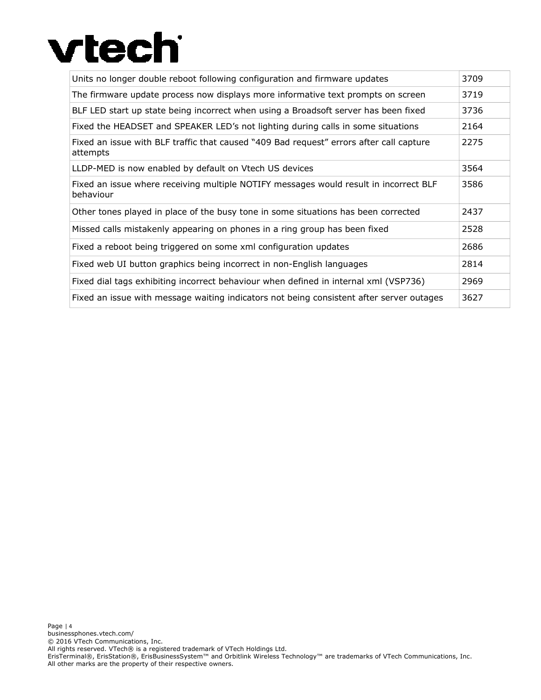| Units no longer double reboot following configuration and firmware updates                          | 3709 |
|-----------------------------------------------------------------------------------------------------|------|
| The firmware update process now displays more informative text prompts on screen                    | 3719 |
| BLF LED start up state being incorrect when using a Broadsoft server has been fixed                 | 3736 |
| Fixed the HEADSET and SPEAKER LED's not lighting during calls in some situations                    | 2164 |
| Fixed an issue with BLF traffic that caused "409 Bad request" errors after call capture<br>attempts | 2275 |
| LLDP-MED is now enabled by default on Vtech US devices                                              | 3564 |
| Fixed an issue where receiving multiple NOTIFY messages would result in incorrect BLF<br>behaviour  | 3586 |
| Other tones played in place of the busy tone in some situations has been corrected                  | 2437 |
| Missed calls mistakenly appearing on phones in a ring group has been fixed                          | 2528 |
| Fixed a reboot being triggered on some xml configuration updates                                    | 2686 |
| Fixed web UI button graphics being incorrect in non-English languages                               | 2814 |
| Fixed dial tags exhibiting incorrect behaviour when defined in internal xml (VSP736)                | 2969 |
| Fixed an issue with message waiting indicators not being consistent after server outages            | 3627 |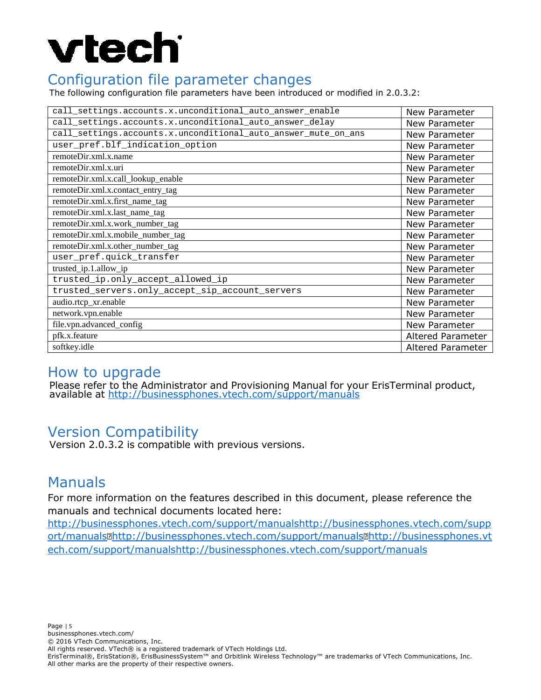## Configuration file parameter changes

The following configuration file parameters have been introduced or modified in 2.0.3.2:

| call_settings.accounts.x.unconditional_auto_answer_enable      | New Parameter     |
|----------------------------------------------------------------|-------------------|
| call_settings.accounts.x.unconditional_auto_answer_delay       | New Parameter     |
| call_settings.accounts.x.unconditional_auto_answer_mute_on_ans | New Parameter     |
| user_pref.blf_indication_option                                | New Parameter     |
| remoteDir.xml.x.name                                           | New Parameter     |
| remoteDir.xml.x.uri                                            | New Parameter     |
| remoteDir.xml.x.call_lookup_enable                             | New Parameter     |
| remoteDir.xml.x.contact_entry_tag                              | New Parameter     |
| remoteDir.xml.x.first_name_tag                                 | New Parameter     |
| remoteDir.xml.x.last_name_tag                                  | New Parameter     |
| remoteDir.xml.x.work number tag                                | New Parameter     |
| remoteDir.xml.x.mobile_number_tag                              | New Parameter     |
| remoteDir.xml.x.other_number_tag                               | New Parameter     |
| user_pref.quick_transfer                                       | New Parameter     |
| trusted_ip.1.allow_ip                                          | New Parameter     |
| trusted_ip.only_accept_allowed_ip                              | New Parameter     |
| trusted_servers.only_accept_sip_account_servers                | New Parameter     |
| audio.rtcp_xr.enable                                           | New Parameter     |
| network.vpn.enable                                             | New Parameter     |
| file.vpn.advanced_config                                       | New Parameter     |
| pfk.x.feature                                                  | Altered Parameter |
| softkey.idle                                                   | Altered Parameter |

### How to upgrade

Please refer to the Administrator and Provisioning Manual for your ErisTerminal product, available at http://businessphones.vtech.com/support/manuals

# Version Compatibility

Version 2.0.3.2 is compatible with previous versions.

### Manuals

For more information on the features described in this document, please reference the manuals and technical documents located here:

http://businessphones.vtech.com/support/manualshttp://businessphones.vtech.com/supp ort/manuals<sup>m</sup>http://businessphones.vtech.com/support/manuals<sup>m</sup>http://businessphones.vt ech.com/support/manualshttp://businessphones.vtech.com/support/manuals